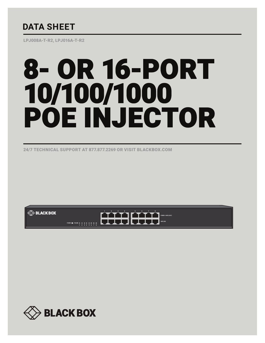## **DATA SHEET**

LPJ008A-T-R2, LPJ016A-T-R2

# 8- OR 16-PORT 10/100/1000 POE INJECTOR

24/7 TECHNICAL SUPPORT AT 877.877.2269 OR VISIT BLACKBOX.COM



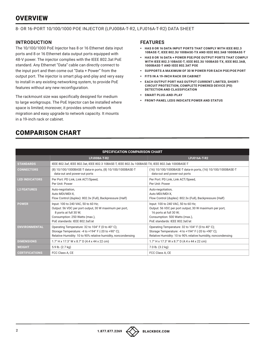## **OVERVIEW**

#### 8- OR 16-PORT 10/100/1000 POE INJECTOR (LPJ008A-T-R2, LPJ016A-T-R2) DATA SHEET

#### **INTRODUCTION**

The 10/100/1000 PoE Injector has 8 or 16 Ethernet data input ports and 8 or 16 Ethernet data output ports equipped with 48-V power. The injector complies with the IEEE 802.3at PoE standard. Any Ethernet "Data" cable can directly connect to the input port and then come out "Data + Power" from the output port. The injector is smart plug-and-play and very easy to install in any existing networking system, to provide PoE features without any new reconfiguration.

The rackmount size was specifically designed for medium to large workgroups. The PoE Injector can be installed where space is limited; moreover, it provides smooth network migration and easy upgrade to network capacity. It mounts in a 19-inch rack or cabinet.

### COMPARISON CHART

#### **FEATURES**

- § **HAS 8 OR 16 DATA INPUT PORTS THAT COMPLY WITH IEEE 802.3 10BASE-T, IEEE 802.3U 100BASE-TX AND IEEE 802.3AB 1000BASE-T**
- § **HAS 8 OR 16 DATA + POWER PSE/POE OUTPUT PORTS THAT COMPLY WITH IEEE 802.3 10BASE-T, IEEE 802.3U 100BASE-TX, IEEE 802.3AB, 1000BASE-T AND IEEE 802.3AT POE**
- § **SUPPORTS A MAXIMUM OF 30 W POWER FOR EACH PSE/POE PORT**
- § **FITS IN A 19-INCH RACK OR CABINET**
- **EACH OUTPUT PORT HAS OUTPUT CURRENT LIMITED, SHORT-CIRCUIT PROTECTION, COMPLETE POWERED DEVICE (PD) DETECTION AND CLASSIFICATION**
- § **SMART PLUG-AND-PLAY**
- § **FRONT-PANEL LEDS INDICATE POWER AND STATUS**

| <b>SPECIFICATION COMPARISON CHART</b> |                                                                                                                                                                                            |                                                                                                                                                                                             |  |  |
|---------------------------------------|--------------------------------------------------------------------------------------------------------------------------------------------------------------------------------------------|---------------------------------------------------------------------------------------------------------------------------------------------------------------------------------------------|--|--|
|                                       | <b>LPJ008A-T-R2</b>                                                                                                                                                                        | <b>LPJ016A-T-R2</b>                                                                                                                                                                         |  |  |
| <b>STANDARDS</b>                      | IEEE 802.3af, IEEE 802.3at, IEEE 802.3 10BASE-T, IEEE 802.3u 100BASE-TX, IEEE 802.3ab 1000BASE-T                                                                                           |                                                                                                                                                                                             |  |  |
| <b>CONNECTORS</b>                     | (8) 10/100/1000BASE-T data-in ports, (8) 10/100/1000BASE-T<br>data-out and power-out ports                                                                                                 | (16) 10/100/1000BASE-T data-in ports, (16) 10/100/1000BASE-T<br>data-out and power-out ports                                                                                                |  |  |
| <b>LED INDICATORS</b>                 | Per Port: PD Link, Link ACT/Speed,<br>Per Unit: Power                                                                                                                                      | Per Port: PD Link, Link ACT/Speed,<br>Per Unit: Power                                                                                                                                       |  |  |
| <b>L2 FEATURES</b>                    | Auto-negotiation,<br>Auto MDI/MDI-X,<br>Flow Control (duplex): 802.3x (Full), Backpressure (Half)                                                                                          | Auto-negotiation,<br>Auto MDI/MDI-X,<br>Flow Control (duplex): 802.3x (Full), Backpressure (Half)                                                                                           |  |  |
| <b>POWER</b>                          | Input: 100 to 240 VAC, 50 to 60 Hz;<br>Output: 56 VDC per port output, 30 W maximum per port,<br>8 ports at full 30 W;<br>Consumption: 250 Watts (max.),<br>PoE standards: IEEE 802.3af/at | Input: 100 to 240 VAC, 50 to 60 Hz;<br>Output: 56 VDC per port output, 30 W maximum per port,<br>16 ports at full 30 W;<br>Consumption: 500 Watts (max.),<br>PoE standards: IEEE 802.3af/at |  |  |
| <b>ENVIRONMENTAL</b>                  | Operating Temperature: 32 to 104° F (0 to 40° C);<br>Storage Temperature: -4 to +194° F (-20 to +90° C);<br>Relative Humidity: 10 to 90% relative humidity, noncondensing                  | Operating Temperature: 32 to 104° F (0 to 40° C);<br>Storage Temperature: -4 to +194° F (-20 to +90° C);<br>Relative Humidity: 10 to 90% relative humidity, noncondensing                   |  |  |
| <b>DIMENSIONS</b>                     | 1.7" H x 17.3" W x 8.7" D (4.4 x 44 x 22 cm)                                                                                                                                               | 1.7" H x 17.3" W x 8.7" D (4.4 x 44 x 22 cm)                                                                                                                                                |  |  |
| <b>WEIGHT</b>                         | 5.9 lb. (2.7 kg)                                                                                                                                                                           | 7.0 lb. (3.2 kg)                                                                                                                                                                            |  |  |
| <b>CERTIFICATIONS</b>                 | FCC Class A, CE                                                                                                                                                                            | FCC Class A, CE                                                                                                                                                                             |  |  |

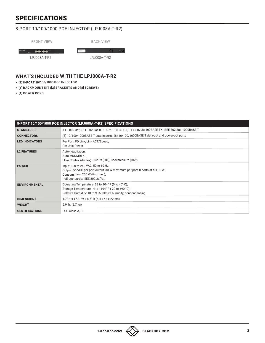## SPECIFICATIONS

#### 8-PORT 10/100/1000 POE INJECTOR (LPJ008A-T-R2)

| <b>FRONT VIEW</b>         | <b>BACK VIEW</b> |  |  |
|---------------------------|------------------|--|--|
| HHHH-<br><b>BLACK BOX</b> |                  |  |  |
| LPJ008A-T-R2              | LPJ008A-T-R2     |  |  |

#### **WHAT'S INCLUDED WITH THE LPJ008A-T-R2**

- § **(1) 8-PORT 10/100/1000 POE INJECTOR**
- § **(1) RACKMOUNT KIT ([2] BRACKETS AND [8] SCREWS)**
- § **(1) POWER CORD**

| 8-PORT 10/100/1000 POE INJECTOR (LPJ008A-T-R2) SPECIFICATIONS |                                                                                                                                                                                         |  |
|---------------------------------------------------------------|-----------------------------------------------------------------------------------------------------------------------------------------------------------------------------------------|--|
| <b>STANDARDS</b>                                              | IEEE 802.3af, IEEE 802.3at, IEEE 802.3 10BASE-T, IEEE 802.3u 100BASE-TX, IEEE 802.3ab 1000BASE-T                                                                                        |  |
| <b>CONNECTORS</b>                                             | (8) 10/100/1000BASE-T data-in ports, (8) 10/100/1000BASE-T data-out and power-out ports                                                                                                 |  |
| <b>LED INDICATORS</b>                                         | Per Port: PD Link, Link ACT/Speed,<br>Per Unit: Power                                                                                                                                   |  |
| <b>L2 FEATURES</b>                                            | Auto-negotiation,<br>Auto MDI/MDI-X,<br>Flow Control (duplex): 802.3x (Full), Backpressure (Half)                                                                                       |  |
| <b>POWER</b>                                                  | Input: 100 to 240 VAC, 50 to 60 Hz;<br>Output: 56 VDC per port output, 30 W maximum per port, 8 ports at full 30 W;<br>Consumption: 250 Watts (max.),<br>PoE standards: IEEE 802.3af/at |  |
| <b>ENVIRONMENTAL</b>                                          | Operating Temperature: 32 to 104° F (0 to 40° C);<br>Storage Temperature: -4 to +194° F (-20 to +90° C);<br>Relative Humidity: 10 to 90% relative humidity, noncondensing               |  |
| <b>DIMENSIONS</b>                                             | $1.7$ " H x 17.3" W x 8.7" D (4.4 x 44 x 22 cm)                                                                                                                                         |  |
| <b>WEIGHT</b>                                                 | 5.9 lb. (2.7 kg)                                                                                                                                                                        |  |
| <b>CERTIFICATIONS</b>                                         | FCC Class A, CE                                                                                                                                                                         |  |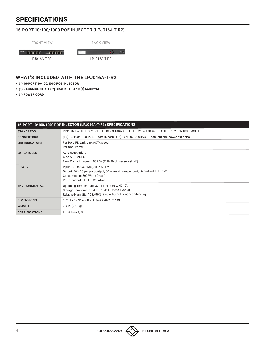## SPECIFICATIONS

#### 16-PORT 10/100/1000 POE INJECTOR (LPJ016A-T-R2)

| <b>FRONT VIEW</b> |  |
|-------------------|--|
|-------------------|--|

BACK VIEW

HHHH HHHH LPJ016A-T-R2

 $\bullet$   $\bullet$ LPJ016A-T-R2

#### **WHAT'S INCLUDED WITH THE LPJ016A-T-R2**

- § **(1) 16-PORT 10/100/1000 POE INJECTOR**
- § **(1) RACKMOUNT KIT ([2] BRACKETS AND [8] SCREWS)**
- § **(1) POWER CORD**

| 16-PORT 10/100/1000 POE INJECTOR (LPJ016A-T-R2) SPECIFICATIONS |                                                                                                                                                                                          |  |
|----------------------------------------------------------------|------------------------------------------------------------------------------------------------------------------------------------------------------------------------------------------|--|
| <b>STANDARDS</b>                                               | IEEE 802.3af, IEEE 802.3at, IEEE 802.3 10BASE-T, IEEE 802.3u 100BASE-TX, IEEE 802.3ab 1000BASE-T                                                                                         |  |
| <b>CONNECTORS</b>                                              | (16) 10/100/1000BASE-T data-in ports, (16) 10/100/1000BASE-T data-out and power-out ports                                                                                                |  |
| <b>LED INDICATORS</b>                                          | Per Port: PD Link, Link ACT/Speed,<br>Per Unit: Power                                                                                                                                    |  |
| <b>L2 FEATURES</b>                                             | Auto-negotiation,<br>Auto MDI/MDI-X,<br>Flow Control (duplex): 802.3x (Full), Backpressure (Half)                                                                                        |  |
| <b>POWER</b>                                                   | Input: 100 to 240 VAC, 50 to 60 Hz;<br>Output: 56 VDC per port output, 30 W maximum per port, 16 ports at full 30 W;<br>Consumption: 500 Watts (max.),<br>PoE standards: IEEE 802.3af/at |  |
| <b>ENVIRONMENTAL</b>                                           | Operating Temperature: 32 to 104° F (0 to 40° C);<br>Storage Temperature: -4 to +194° F (-20 to +90° C);<br>Relative Humidity: 10 to 90% relative humidity, noncondensing                |  |
| <b>DIMENSIONS</b>                                              | 1.7" H x 17.3" W x 8.7" D (4.4 x 44 x 22 cm)                                                                                                                                             |  |
| <b>WEIGHT</b>                                                  | 7.0 lb. (3.2 kg)                                                                                                                                                                         |  |
| <b>CERTIFICATIONS</b>                                          | FCC Class A, CE                                                                                                                                                                          |  |